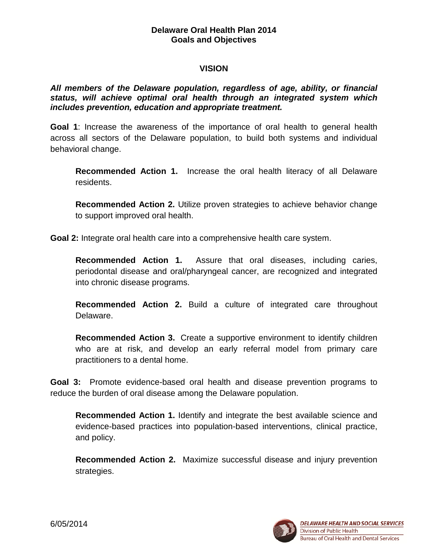# **VISION**

# *All members of the Delaware population, regardless of age, ability, or financial status, will achieve optimal oral health through an integrated system which includes prevention, education and appropriate treatment.*

**Goal 1**: Increase the awareness of the importance of oral health to general health across all sectors of the Delaware population, to build both systems and individual behavioral change.

**Recommended Action 1.** Increase the oral health literacy of all Delaware residents.

**Recommended Action 2.** Utilize proven strategies to achieve behavior change to support improved oral health.

**Goal 2:** Integrate oral health care into a comprehensive health care system.

**Recommended Action 1.** Assure that oral diseases, including caries, periodontal disease and oral/pharyngeal cancer, are recognized and integrated into chronic disease programs.

**Recommended Action 2.** Build a culture of integrated care throughout Delaware.

**Recommended Action 3.** Create a supportive environment to identify children who are at risk, and develop an early referral model from primary care practitioners to a dental home.

**Goal 3:** Promote evidence-based oral health and disease prevention programs to reduce the burden of oral disease among the Delaware population.

**Recommended Action 1.** Identify and integrate the best available science and evidence-based practices into population-based interventions, clinical practice, and policy.

**Recommended Action 2.** Maximize successful disease and injury prevention strategies.

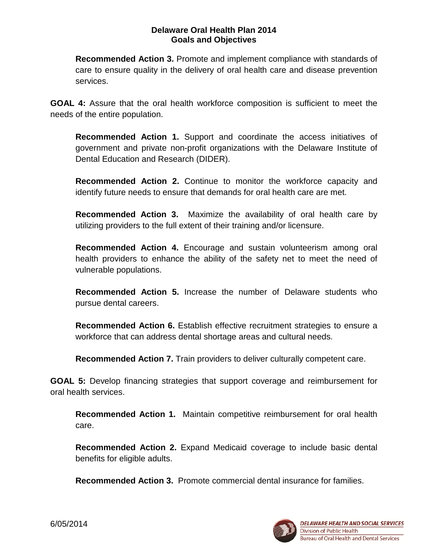**Recommended Action 3.** Promote and implement compliance with standards of care to ensure quality in the delivery of oral health care and disease prevention services.

**GOAL 4:** Assure that the oral health workforce composition is sufficient to meet the needs of the entire population.

**Recommended Action 1.** Support and coordinate the access initiatives of government and private non-profit organizations with the Delaware Institute of Dental Education and Research (DIDER).

**Recommended Action 2.** Continue to monitor the workforce capacity and identify future needs to ensure that demands for oral health care are met.

**Recommended Action 3.** Maximize the availability of oral health care by utilizing providers to the full extent of their training and/or licensure.

**Recommended Action 4.** Encourage and sustain volunteerism among oral health providers to enhance the ability of the safety net to meet the need of vulnerable populations.

**Recommended Action 5.** Increase the number of Delaware students who pursue dental careers.

**Recommended Action 6.** Establish effective recruitment strategies to ensure a workforce that can address dental shortage areas and cultural needs.

**Recommended Action 7.** Train providers to deliver culturally competent care.

**GOAL 5:** Develop financing strategies that support coverage and reimbursement for oral health services.

**Recommended Action 1.** Maintain competitive reimbursement for oral health care.

**Recommended Action 2.** Expand Medicaid coverage to include basic dental benefits for eligible adults.

**Recommended Action 3.** Promote commercial dental insurance for families.

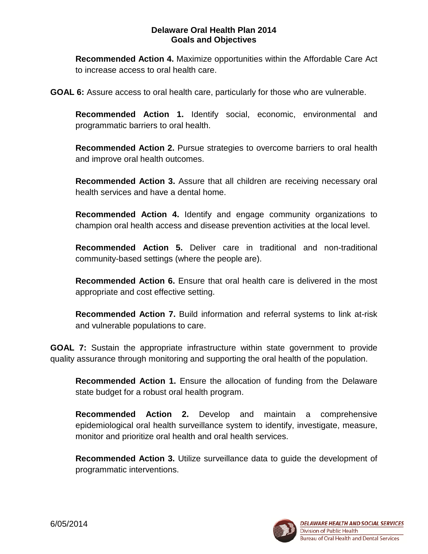**Recommended Action 4.** Maximize opportunities within the Affordable Care Act to increase access to oral health care.

**GOAL 6:** Assure access to oral health care, particularly for those who are vulnerable.

**Recommended Action 1.** Identify social, economic, environmental and programmatic barriers to oral health.

**Recommended Action 2.** Pursue strategies to overcome barriers to oral health and improve oral health outcomes.

**Recommended Action 3.** Assure that all children are receiving necessary oral health services and have a dental home.

**Recommended Action 4.** Identify and engage community organizations to champion oral health access and disease prevention activities at the local level.

**Recommended Action 5.** Deliver care in traditional and non-traditional community-based settings (where the people are).

**Recommended Action 6.** Ensure that oral health care is delivered in the most appropriate and cost effective setting.

**Recommended Action 7.** Build information and referral systems to link at-risk and vulnerable populations to care.

**GOAL 7:** Sustain the appropriate infrastructure within state government to provide quality assurance through monitoring and supporting the oral health of the population.

**Recommended Action 1.** Ensure the allocation of funding from the Delaware state budget for a robust oral health program.

**Recommended Action 2.** Develop and maintain a comprehensive epidemiological oral health surveillance system to identify, investigate, measure, monitor and prioritize oral health and oral health services.

**Recommended Action 3.** Utilize surveillance data to guide the development of programmatic interventions.

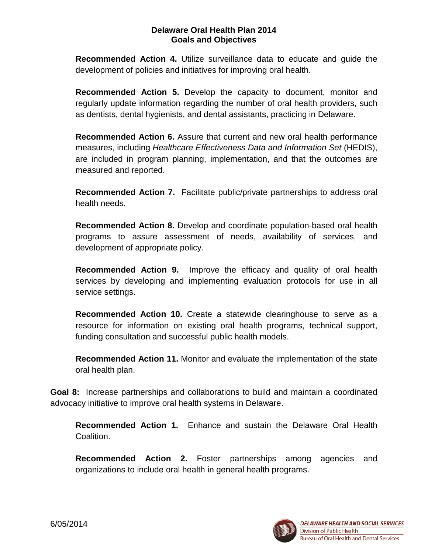**Recommended Action 4.** Utilize surveillance data to educate and guide the development of policies and initiatives for improving oral health.

**Recommended Action 5.** Develop the capacity to document, monitor and regularly update information regarding the number of oral health providers, such as dentists, dental hygienists, and dental assistants, practicing in Delaware.

**Recommended Action 6.** Assure that current and new oral health performance measures, including *Healthcare Effectiveness Data and Information Set* (HEDIS), are included in program planning, implementation, and that the outcomes are measured and reported.

**Recommended Action 7.** Facilitate public/private partnerships to address oral health needs.

**Recommended Action 8.** Develop and coordinate population-based oral health programs to assure assessment of needs, availability of services, and development of appropriate policy.

**Recommended Action 9.** Improve the efficacy and quality of oral health services by developing and implementing evaluation protocols for use in all service settings.

**Recommended Action 10.** Create a statewide clearinghouse to serve as a resource for information on existing oral health programs, technical support, funding consultation and successful public health models.

**Recommended Action 11.** Monitor and evaluate the implementation of the state oral health plan.

**Goal 8:** Increase partnerships and collaborations to build and maintain a coordinated advocacy initiative to improve oral health systems in Delaware.

**Recommended Action 1.** Enhance and sustain the Delaware Oral Health Coalition.

**Recommended Action 2.** Foster partnerships among agencies and organizations to include oral health in general health programs.